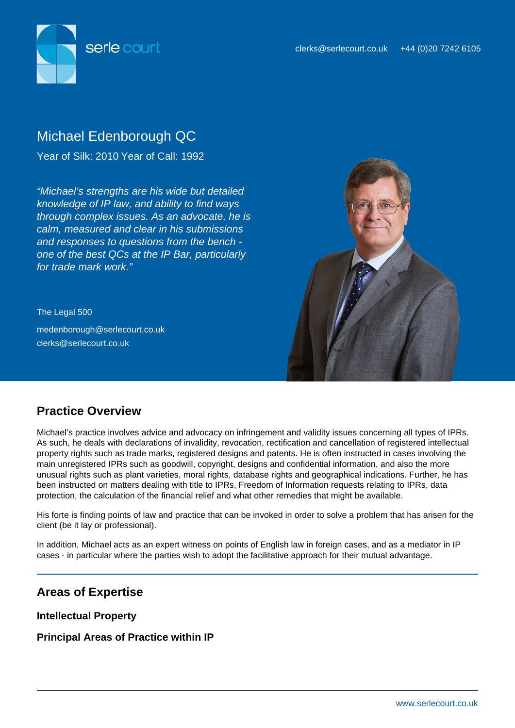

# Michael Edenborough QC

Year of Silk: 2010 Year of Call: 1992

"Michael's strengths are his wide but detailed knowledge of IP law, and ability to find ways through complex issues. As an advocate, he is calm, measured and clear in his submissions and responses to questions from the bench one of the best QCs at the IP Bar, particularly for trade mark work."

The Legal 500 medenborough@serlecourt.co.uk clerks@serlecourt.co.uk



## **Practice Overview**

Michael's practice involves advice and advocacy on infringement and validity issues concerning all types of IPRs. As such, he deals with declarations of invalidity, revocation, rectification and cancellation of registered intellectual property rights such as trade marks, registered designs and patents. He is often instructed in cases involving the main unregistered IPRs such as goodwill, copyright, designs and confidential information, and also the more unusual rights such as plant varieties, moral rights, database rights and geographical indications. Further, he has been instructed on matters dealing with title to IPRs, Freedom of Information requests relating to IPRs, data protection, the calculation of the financial relief and what other remedies that might be available.

His forte is finding points of law and practice that can be invoked in order to solve a problem that has arisen for the client (be it lay or professional).

In addition, Michael acts as an expert witness on points of English law in foreign cases, and as a mediator in IP cases - in particular where the parties wish to adopt the facilitative approach for their mutual advantage.

## **Areas of Expertise**

**Intellectual Property**

**Principal Areas of Practice within IP**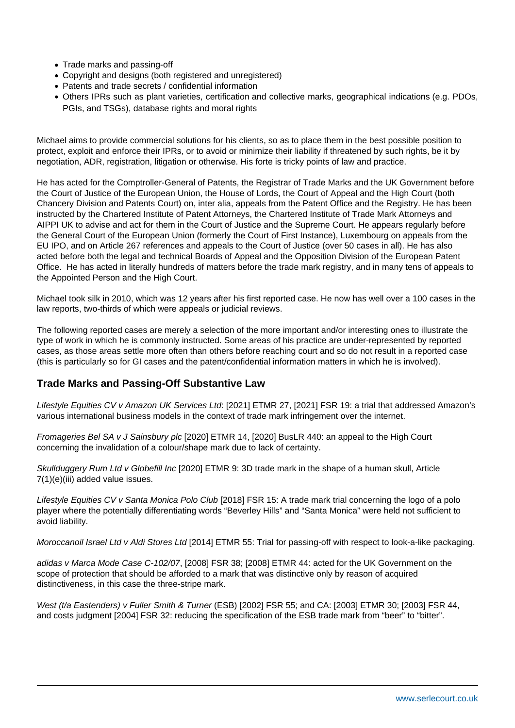- Trade marks and passing-off
- Copyright and designs (both registered and unregistered)
- Patents and trade secrets / confidential information
- Others IPRs such as plant varieties, certification and collective marks, geographical indications (e.g. PDOs, PGIs, and TSGs), database rights and moral rights

Michael aims to provide commercial solutions for his clients, so as to place them in the best possible position to protect, exploit and enforce their IPRs, or to avoid or minimize their liability if threatened by such rights, be it by negotiation, ADR, registration, litigation or otherwise. His forte is tricky points of law and practice.

He has acted for the Comptroller-General of Patents, the Registrar of Trade Marks and the UK Government before the Court of Justice of the European Union, the House of Lords, the Court of Appeal and the High Court (both Chancery Division and Patents Court) on, inter alia, appeals from the Patent Office and the Registry. He has been instructed by the Chartered Institute of Patent Attorneys, the Chartered Institute of Trade Mark Attorneys and AIPPI UK to advise and act for them in the Court of Justice and the Supreme Court. He appears regularly before the General Court of the European Union (formerly the Court of First Instance), Luxembourg on appeals from the EU IPO, and on Article 267 references and appeals to the Court of Justice (over 50 cases in all). He has also acted before both the legal and technical Boards of Appeal and the Opposition Division of the European Patent Office. He has acted in literally hundreds of matters before the trade mark registry, and in many tens of appeals to the Appointed Person and the High Court.

Michael took silk in 2010, which was 12 years after his first reported case. He now has well over a 100 cases in the law reports, two-thirds of which were appeals or judicial reviews.

The following reported cases are merely a selection of the more important and/or interesting ones to illustrate the type of work in which he is commonly instructed. Some areas of his practice are under-represented by reported cases, as those areas settle more often than others before reaching court and so do not result in a reported case (this is particularly so for GI cases and the patent/confidential information matters in which he is involved).

### **Trade Marks and Passing-Off Substantive Law**

Lifestyle Equities CV v Amazon UK Services Ltd: [2021] ETMR 27, [2021] FSR 19: a trial that addressed Amazon's various international business models in the context of trade mark infringement over the internet.

Fromageries Bel SA v J Sainsbury plc [2020] ETMR 14, [2020] BusLR 440: an appeal to the High Court concerning the invalidation of a colour/shape mark due to lack of certainty.

Skullduggery Rum Ltd v Globefill Inc [2020] ETMR 9: 3D trade mark in the shape of a human skull, Article 7(1)(e)(iii) added value issues.

Lifestyle Equities CV v Santa Monica Polo Club [2018] FSR 15: A trade mark trial concerning the logo of a polo player where the potentially differentiating words "Beverley Hills" and "Santa Monica" were held not sufficient to avoid liability.

Moroccanoil Israel Ltd v Aldi Stores Ltd [2014] ETMR 55: Trial for passing-off with respect to look-a-like packaging.

adidas v Marca Mode Case C-102/07, [2008] FSR 38; [2008] ETMR 44: acted for the UK Government on the scope of protection that should be afforded to a mark that was distinctive only by reason of acquired distinctiveness, in this case the three-stripe mark.

West (t/a Eastenders) v Fuller Smith & Turner (ESB) [2002] FSR 55; and CA: [2003] ETMR 30; [2003] FSR 44, and costs judgment [2004] FSR 32: reducing the specification of the ESB trade mark from "beer" to "bitter".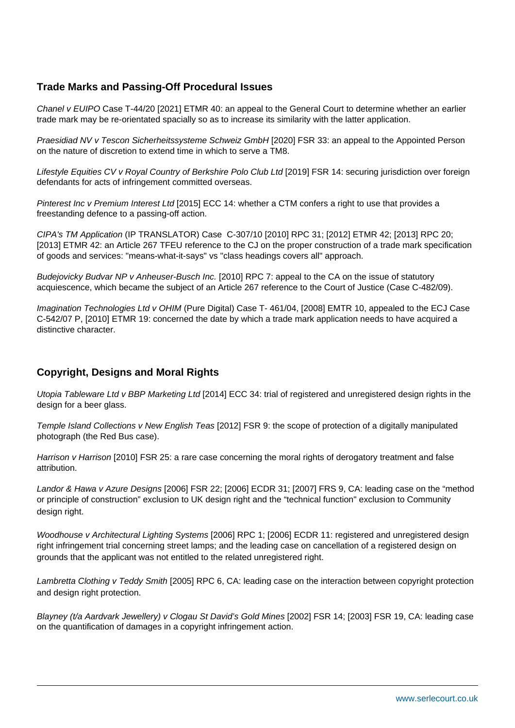## **Trade Marks and Passing-Off Procedural Issues**

Chanel v EUIPO Case T-44/20 [2021] ETMR 40: an appeal to the General Court to determine whether an earlier trade mark may be re-orientated spacially so as to increase its similarity with the latter application.

Praesidiad NV v Tescon Sicherheitssysteme Schweiz GmbH [2020] FSR 33: an appeal to the Appointed Person on the nature of discretion to extend time in which to serve a TM8.

Lifestyle Equities CV v Royal Country of Berkshire Polo Club Ltd [2019] FSR 14: securing jurisdiction over foreign defendants for acts of infringement committed overseas.

Pinterest Inc v Premium Interest Ltd [2015] ECC 14: whether a CTM confers a right to use that provides a freestanding defence to a passing-off action.

CIPA's TM Application (IP TRANSLATOR) Case C-307/10 [2010] RPC 31; [2012] ETMR 42; [2013] RPC 20; [2013] ETMR 42: an Article 267 TFEU reference to the CJ on the proper construction of a trade mark specification of goods and services: "means-what-it-says" vs "class headings covers all" approach.

Budejovicky Budvar NP v Anheuser-Busch Inc. [2010] RPC 7: appeal to the CA on the issue of statutory acquiescence, which became the subject of an Article 267 reference to the Court of Justice (Case C-482/09).

Imagination Technologies Ltd v OHIM (Pure Digital) Case T- 461/04, [2008] EMTR 10, appealed to the ECJ Case C-542/07 P, [2010] ETMR 19: concerned the date by which a trade mark application needs to have acquired a distinctive character.

### **Copyright, Designs and Moral Rights**

Utopia Tableware Ltd v BBP Marketing Ltd [2014] ECC 34: trial of registered and unregistered design rights in the design for a beer glass.

Temple Island Collections v New English Teas [2012] FSR 9: the scope of protection of a digitally manipulated photograph (the Red Bus case).

Harrison v Harrison [2010] FSR 25: a rare case concerning the moral rights of derogatory treatment and false attribution.

Landor & Hawa v Azure Designs [2006] FSR 22; [2006] ECDR 31; [2007] FRS 9, CA: leading case on the "method or principle of construction" exclusion to UK design right and the "technical function" exclusion to Community design right.

Woodhouse v Architectural Lighting Systems [2006] RPC 1; [2006] ECDR 11: registered and unregistered design right infringement trial concerning street lamps; and the leading case on cancellation of a registered design on grounds that the applicant was not entitled to the related unregistered right.

Lambretta Clothing v Teddy Smith [2005] RPC 6, CA: leading case on the interaction between copyright protection and design right protection.

Blayney (t/a Aardvark Jewellery) v Clogau St David's Gold Mines [2002] FSR 14; [2003] FSR 19, CA: leading case on the quantification of damages in a copyright infringement action.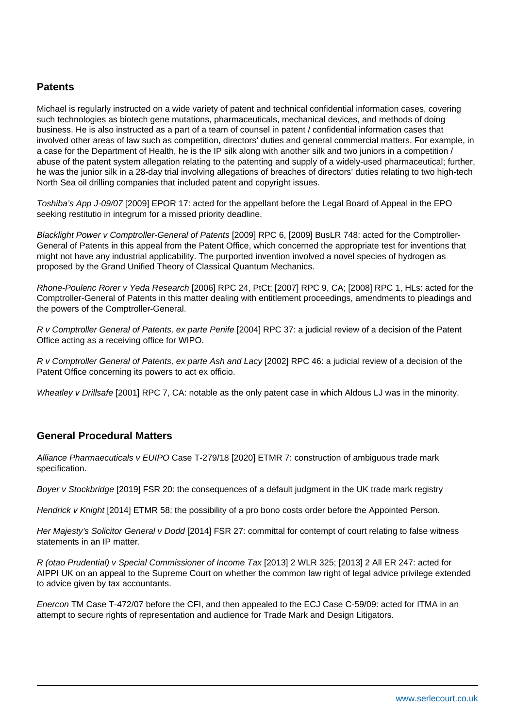#### **Patents**

Michael is regularly instructed on a wide variety of patent and technical confidential information cases, covering such technologies as biotech gene mutations, pharmaceuticals, mechanical devices, and methods of doing business. He is also instructed as a part of a team of counsel in patent / confidential information cases that involved other areas of law such as competition, directors' duties and general commercial matters. For example, in a case for the Department of Health, he is the IP silk along with another silk and two juniors in a competition / abuse of the patent system allegation relating to the patenting and supply of a widely-used pharmaceutical; further, he was the junior silk in a 28-day trial involving allegations of breaches of directors' duties relating to two high-tech North Sea oil drilling companies that included patent and copyright issues.

Toshiba's App J-09/07 [2009] EPOR 17: acted for the appellant before the Legal Board of Appeal in the EPO seeking restitutio in integrum for a missed priority deadline.

Blacklight Power v Comptroller-General of Patents [2009] RPC 6, [2009] BusLR 748: acted for the Comptroller-General of Patents in this appeal from the Patent Office, which concerned the appropriate test for inventions that might not have any industrial applicability. The purported invention involved a novel species of hydrogen as proposed by the Grand Unified Theory of Classical Quantum Mechanics.

Rhone-Poulenc Rorer v Yeda Research [2006] RPC 24, PtCt; [2007] RPC 9, CA; [2008] RPC 1, HLs: acted for the Comptroller-General of Patents in this matter dealing with entitlement proceedings, amendments to pleadings and the powers of the Comptroller-General.

R v Comptroller General of Patents, ex parte Penife [2004] RPC 37: a judicial review of a decision of the Patent Office acting as a receiving office for WIPO.

R v Comptroller General of Patents, ex parte Ash and Lacy [2002] RPC 46: a judicial review of a decision of the Patent Office concerning its powers to act ex officio.

Wheatley v Drillsafe [2001] RPC 7, CA: notable as the only patent case in which Aldous LJ was in the minority.

### **General Procedural Matters**

Alliance Pharmaecuticals v EUIPO Case T-279/18 [2020] ETMR 7: construction of ambiguous trade mark specification.

Boyer v Stockbridge [2019] FSR 20: the consequences of a default judgment in the UK trade mark registry

Hendrick v Knight [2014] ETMR 58: the possibility of a pro bono costs order before the Appointed Person.

Her Majesty's Solicitor General v Dodd [2014] FSR 27: committal for contempt of court relating to false witness statements in an IP matter.

R (otao Prudential) v Special Commissioner of Income Tax [2013] 2 WLR 325; [2013] 2 All ER 247: acted for AIPPI UK on an appeal to the Supreme Court on whether the common law right of legal advice privilege extended to advice given by tax accountants.

Enercon TM Case T-472/07 before the CFI, and then appealed to the ECJ Case C-59/09: acted for ITMA in an attempt to secure rights of representation and audience for Trade Mark and Design Litigators.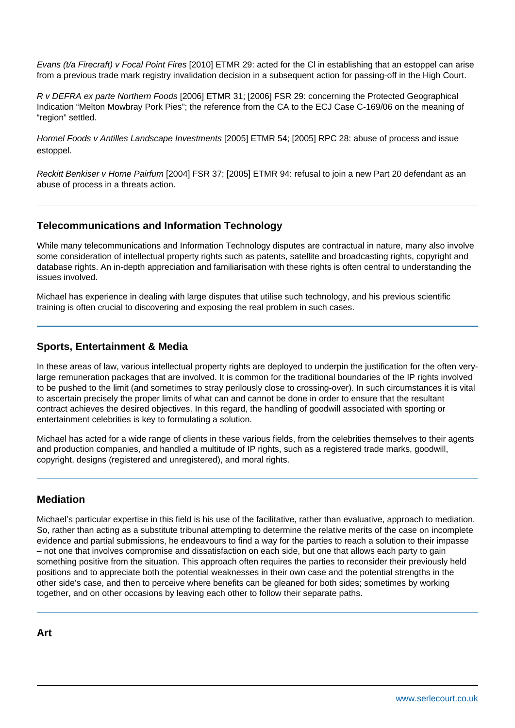Evans (t/a Firecraft) v Focal Point Fires [2010] ETMR 29: acted for the Cl in establishing that an estoppel can arise from a previous trade mark registry invalidation decision in a subsequent action for passing-off in the High Court.

R v DEFRA ex parte Northern Foods [2006] ETMR 31; [2006] FSR 29: concerning the Protected Geographical Indication "Melton Mowbray Pork Pies"; the reference from the CA to the ECJ Case C-169/06 on the meaning of "region" settled.

Hormel Foods v Antilles Landscape Investments [2005] ETMR 54; [2005] RPC 28: abuse of process and issue estoppel.

Reckitt Benkiser v Home Pairfum [2004] FSR 37; [2005] ETMR 94: refusal to join a new Part 20 defendant as an abuse of process in a threats action.

#### **Telecommunications and Information Technology**

While many telecommunications and Information Technology disputes are contractual in nature, many also involve some consideration of intellectual property rights such as patents, satellite and broadcasting rights, copyright and database rights. An in-depth appreciation and familiarisation with these rights is often central to understanding the issues involved.

Michael has experience in dealing with large disputes that utilise such technology, and his previous scientific training is often crucial to discovering and exposing the real problem in such cases.

#### **Sports, Entertainment & Media**

In these areas of law, various intellectual property rights are deployed to underpin the justification for the often verylarge remuneration packages that are involved. It is common for the traditional boundaries of the IP rights involved to be pushed to the limit (and sometimes to stray perilously close to crossing-over). In such circumstances it is vital to ascertain precisely the proper limits of what can and cannot be done in order to ensure that the resultant contract achieves the desired objectives. In this regard, the handling of goodwill associated with sporting or entertainment celebrities is key to formulating a solution.

Michael has acted for a wide range of clients in these various fields, from the celebrities themselves to their agents and production companies, and handled a multitude of IP rights, such as a registered trade marks, goodwill, copyright, designs (registered and unregistered), and moral rights.

### **Mediation**

Michael's particular expertise in this field is his use of the facilitative, rather than evaluative, approach to mediation. So, rather than acting as a substitute tribunal attempting to determine the relative merits of the case on incomplete evidence and partial submissions, he endeavours to find a way for the parties to reach a solution to their impasse – not one that involves compromise and dissatisfaction on each side, but one that allows each party to gain something positive from the situation. This approach often requires the parties to reconsider their previously held positions and to appreciate both the potential weaknesses in their own case and the potential strengths in the other side's case, and then to perceive where benefits can be gleaned for both sides; sometimes by working together, and on other occasions by leaving each other to follow their separate paths.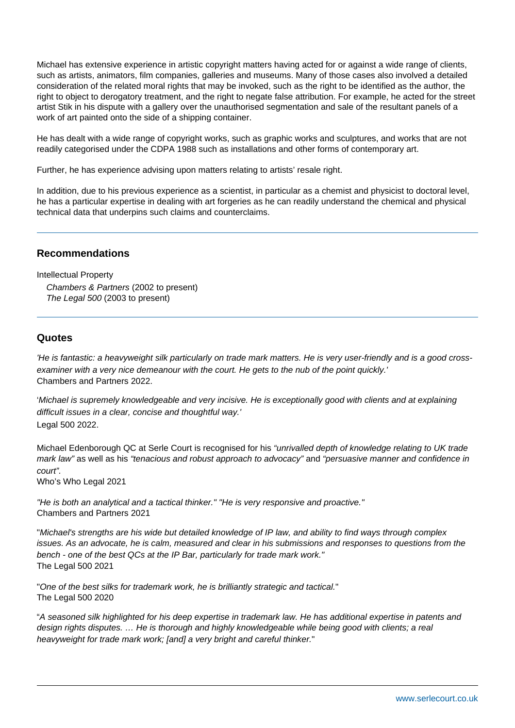Michael has extensive experience in artistic copyright matters having acted for or against a wide range of clients, such as artists, animators, film companies, galleries and museums. Many of those cases also involved a detailed consideration of the related moral rights that may be invoked, such as the right to be identified as the author, the right to object to derogatory treatment, and the right to negate false attribution. For example, he acted for the street artist Stik in his dispute with a gallery over the unauthorised segmentation and sale of the resultant panels of a work of art painted onto the side of a shipping container.

He has dealt with a wide range of copyright works, such as graphic works and sculptures, and works that are not readily categorised under the CDPA 1988 such as installations and other forms of contemporary art.

Further, he has experience advising upon matters relating to artists' resale right.

In addition, due to his previous experience as a scientist, in particular as a chemist and physicist to doctoral level, he has a particular expertise in dealing with art forgeries as he can readily understand the chemical and physical technical data that underpins such claims and counterclaims.

#### **Recommendations**

Intellectual Property Chambers & Partners (2002 to present) The Legal 500 (2003 to present)

#### **Quotes**

'He is fantastic: a heavyweight silk particularly on trade mark matters. He is very user-friendly and is a good crossexaminer with a very nice demeanour with the court. He gets to the nub of the point quickly.' Chambers and Partners 2022.

'Michael is supremely knowledgeable and very incisive. He is exceptionally good with clients and at explaining difficult issues in a clear, concise and thoughtful way.' Legal 500 2022.

Michael Edenborough QC at Serle Court is recognised for his "unrivalled depth of knowledge relating to UK trade mark law" as well as his "tenacious and robust approach to advocacy" and "persuasive manner and confidence in court".

Who's Who Legal 2021

"He is both an analytical and a tactical thinker." "He is very responsive and proactive." Chambers and Partners 2021

"Michael's strengths are his wide but detailed knowledge of IP law, and ability to find ways through complex issues. As an advocate, he is calm, measured and clear in his submissions and responses to questions from the bench - one of the best QCs at the IP Bar, particularly for trade mark work." The Legal 500 2021

"One of the best silks for trademark work, he is brilliantly strategic and tactical." The Legal 500 2020

"A seasoned silk highlighted for his deep expertise in trademark law. He has additional expertise in patents and design rights disputes. … He is thorough and highly knowledgeable while being good with clients; a real heavyweight for trade mark work; [and] a very bright and careful thinker."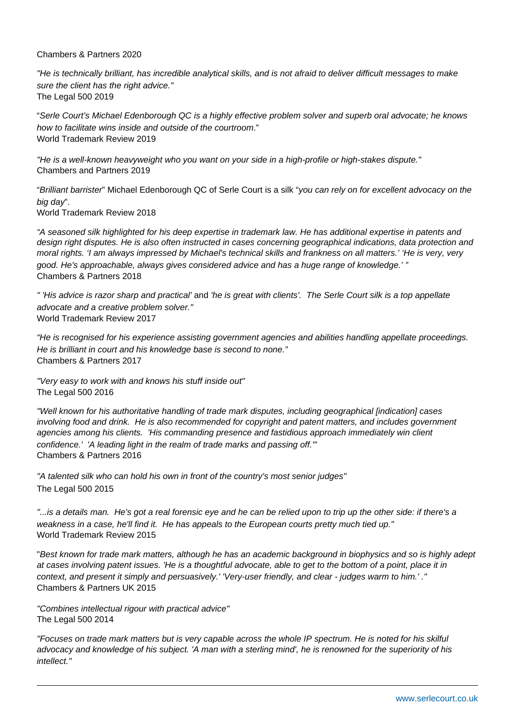#### Chambers & Partners 2020

"He is technically brilliant, has incredible analytical skills, and is not afraid to deliver difficult messages to make sure the client has the right advice." The Legal 500 2019

"Serle Court's Michael Edenborough QC is a highly effective problem solver and superb oral advocate; he knows how to facilitate wins inside and outside of the courtroom." World Trademark Review 2019

"He is a well-known heavyweight who you want on your side in a high-profile or high-stakes dispute." Chambers and Partners 2019

"Brilliant barrister" Michael Edenborough QC of Serle Court is a silk "you can rely on for excellent advocacy on the big day".

World Trademark Review 2018

"A seasoned silk highlighted for his deep expertise in trademark law. He has additional expertise in patents and design right disputes. He is also often instructed in cases concerning geographical indications, data protection and moral rights. 'I am always impressed by Michael's technical skills and frankness on all matters.' 'He is very, very good. He's approachable, always gives considered advice and has a huge range of knowledge.' " Chambers & Partners 2018

" 'His advice is razor sharp and practical' and 'he is great with clients'. The Serle Court silk is a top appellate advocate and a creative problem solver." World Trademark Review 2017

"He is recognised for his experience assisting government agencies and abilities handling appellate proceedings. He is brilliant in court and his knowledge base is second to none." Chambers & Partners 2017

"Very easy to work with and knows his stuff inside out" The Legal 500 2016

"Well known for his authoritative handling of trade mark disputes, including geographical [indication] cases involving food and drink. He is also recommended for copyright and patent matters, and includes government agencies among his clients. 'His commanding presence and fastidious approach immediately win client confidence.' 'A leading light in the realm of trade marks and passing off.'" Chambers & Partners 2016

"A talented silk who can hold his own in front of the country's most senior judges" The Legal 500 2015

"...is a details man. He's got a real forensic eye and he can be relied upon to trip up the other side: if there's a weakness in a case, he'll find it. He has appeals to the European courts pretty much tied up." World Trademark Review 2015

"Best known for trade mark matters, although he has an academic background in biophysics and so is highly adept at cases involving patent issues. 'He is a thoughtful advocate, able to get to the bottom of a point, place it in context, and present it simply and persuasively.' 'Very-user friendly, and clear - judges warm to him.' ." Chambers & Partners UK 2015

"Combines intellectual rigour with practical advice" The Legal 500 2014

"Focuses on trade mark matters but is very capable across the whole IP spectrum. He is noted for his skilful advocacy and knowledge of his subject. 'A man with a sterling mind', he is renowned for the superiority of his intellect."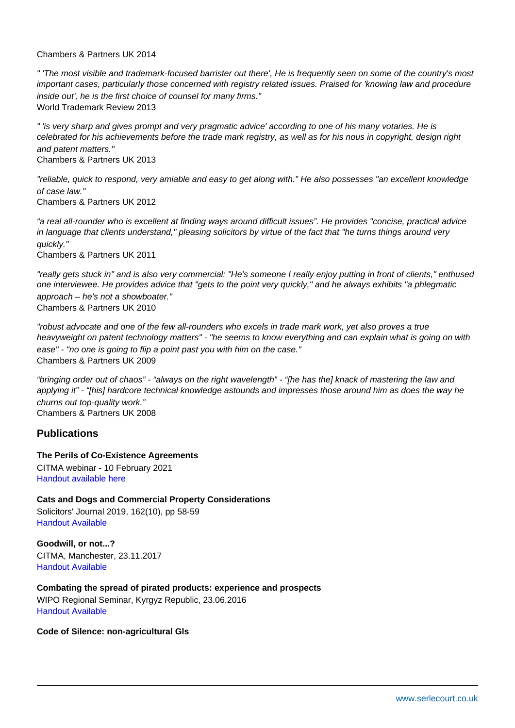#### Chambers & Partners UK 2014

" 'The most visible and trademark-focused barrister out there', He is frequently seen on some of the country's most important cases, particularly those concerned with registry related issues. Praised for 'knowing law and procedure inside out', he is the first choice of counsel for many firms." World Trademark Review 2013

" 'is very sharp and gives prompt and very pragmatic advice' according to one of his many votaries. He is celebrated for his achievements before the trade mark registry, as well as for his nous in copyright, design right and patent matters."

Chambers & Partners UK 2013

"reliable, quick to respond, very amiable and easy to get along with." He also possesses "an excellent knowledge of case law."

Chambers & Partners UK 2012

"a real all-rounder who is excellent at finding ways around difficult issues". He provides "concise, practical advice in language that clients understand," pleasing solicitors by virtue of the fact that "he turns things around very quickly."

Chambers & Partners UK 2011

"really gets stuck in" and is also very commercial: "He's someone I really enjoy putting in front of clients," enthused one interviewee. He provides advice that "gets to the point very quickly," and he always exhibits "a phlegmatic approach – he's not a showboater." Chambers & Partners UK 2010

"robust advocate and one of the few all-rounders who excels in trade mark work, yet also proves a true heavyweight on patent technology matters" - "he seems to know everything and can explain what is going on with ease" - "no one is going to flip a point past you with him on the case." Chambers & Partners UK 2009

"bringing order out of chaos" - "always on the right wavelength" - "[he has the] knack of mastering the law and applying it" - "[his] hardcore technical knowledge astounds and impresses those around him as does the way he churns out top-quality work." Chambers & Partners UK 2008

Publications

The Perils of Co-Existence Agreements CITMA webinar - 10 February 2021 [Handout available](�� h t t p : / / w w w . s e r l e c o u r t . c o . u k / i m a g e s / u p l o a d s / n e w s - a n d - e v e n t s / M E _ f i n a l _ s l i d e _ d e c k _ 1 0 t h _ F e b _ 2 0 2 1 a _ ( 0 0 2 ) . p d f) [here](�� h t t p s : / / w w w . s e r l e c o u r t . c o . u k / i m a g e s / u p l o a d s / n e w s - a n d - e v e n t s / M E _ f i n a l _ s l i d e _ d e c k _ 1 0 t h _ F e b _ 2 0 2 1 a _ ( 0 0 2 ) . p d f)

Cats and Dogs and Commercial Property Considerations Solicitors' Journal 2019, 162(10), pp 58-59 [Handout Available](�� / i m a g e s / u p l o a d s / d o c u m e n t s / S o l i c i t o r s _ J o u r n a l _ - _ N o v e m b e r D e c e m b e r _ E d i t i o n _ 2 0 1 9 _ 1 . p d f)

Goodwill, or not...? CITMA, Manchester, 23.11.2017 [Handout Available](�� h t t p : / / w w w . s e r l e c o u r t . c o . u k / i m a g e s / u p l o a d s / d o c u m e n t s / G o o d w i l l , _ o r _ n o t _ - _ M a n c h e s t e r _ T a l k _ - _ 2 3 _ N o v _ 2 0 1 7 _ - _ M X E . p d f)

Combating the spread of pirated products: experience and prospects WIPO Regional Seminar, Kyrgyz Republic, 23.06.2016 [Handout Available](�� / i m a g e s / u p l o a d s / d o c u m e n t s / W I P O _ w o r k s h o p _ - _ M E _ s _ s l i d e s . p d f)

Code of Silence: non-agricultural Gls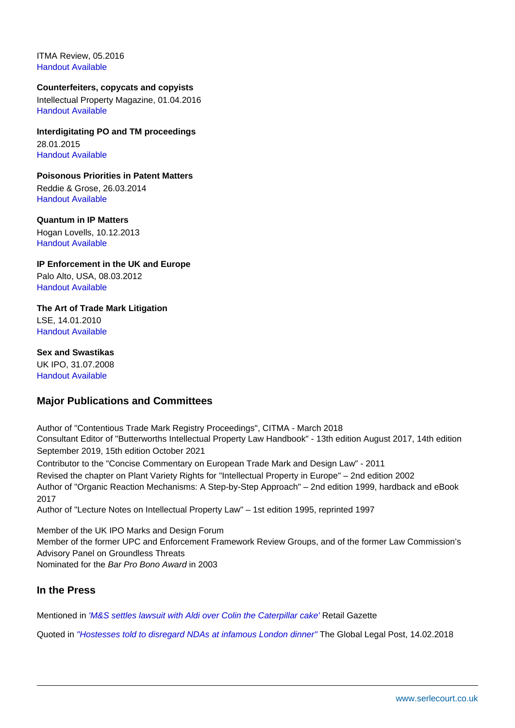ITMA Review, 05.2016 [Handout Available](�� h t t p : / / w w w . s e r l e c o u r t . c o . u k / i m a g e s / u p l o a d s / d o c u m e n t s / M i c h a e l _ E d e n b o r o u g h _ Q C _ - _ L a w _ S o c i e t y _ G a z e t t e _ - _ W r i t t e n _ i n _ C o d e _ - _ A p r i l _ 2 0 1 6 . p d f)

Counterfeiters, copycats and copyists Intellectual Property Magazine, 01.04.2016 [Handout Available](�� h t t p : / / w w w . s e r l e c o u r t . c o . u k / i m a g e s / u p l o a d s / d o c u m e n t s / S e r l e _ C o u r t _ - _ I P _ M a g a z i n e _ - _ 1 _ A p r i l _ 2 0 1 6 . p d f)

Interdigitating PO and TM proceedings 28.01.2015 [Handout Available](�� h t t p : / / w w w . s e r l e c o u r t . c o . u k / i m a g e s / u p l o a d s / d o c u m e n t s / T M _ a n d _ p a s s i n g - o f f _ i n t e r a c t i o n . p d f)

Poisonous Priorities in Patent Matters Reddie & Grose, 26.03.2014 [Handout Available](�� h t t p : / / w w w . s e r l e c o u r t . c o . u k / i m a g e s / u p l o a d s / d o c u m e n t s / P o i s o n o u s _ P r i o r i t i e s . p d f)

Quantum in IP Matters Hogan Lovells, 10.12.2013 [Handout Available](�� h t t p : / / w w w . s e r l e c o u r t . c o . u k / i m a g e s / u p l o a d s / d o c u m e n t s / Q u a n t u m _ i n _ I P _ M a t t e r s . p d f)

IP Enforcement in the UK and Europe Palo Alto, USA, 08.03.2012 [Handout Available](�� h t t p : / / w w w . s e r l e c o u r t . c o . u k / i m a g e s / u p l o a d s / d o c u m e n t s / I P _ E n f o r c e m e n t . p d f)

The Art of Trade Mark Litigation LSE, 14.01.2010 [Handout Available](�� h t t p : / / w w w . s e r l e c o u r t . c o . u k / i m a g e s / u p l o a d s / d o c u m e n t s / T h e _ A r t _ o f _ T r a d e _ M a r k _ L i t i g a t i o n . p d f)

Sex and Swastikas UK IPO, 31.07.2008 [Handout Available](�� h t t p : / / w w w . s e r l e c o u r t . c o . u k / i m a g e s / u p l o a d s / d o c u m e n t s / I m m o r a l i t y - 0 8 0 7 3 1 . p d f)

Major Publications and Committees

Author of "Contentious Trade Mark Registry Proceedings", CITMA - March 2018 Consultant Editor of "Butterworths Intellectual Property Law Handbook" - 13th edition August 2017, 14th edition September 2019, 15th edition October 2021

Contributor to the "Concise Commentary on European Trade Mark and Design Law" - 2011 Revised the chapter on Plant Variety Rights for "Intellectual Property in Europe" – 2nd edition 2002 Author of "Organic Reaction Mechanisms: A Step-by-Step Approach" – 2nd edition 1999, hardback and eBook 2017

Author of "Lecture Notes on Intellectual Property Law" – 1st edition 1995, reprinted 1997

Member of the UK IPO Marks and Design Forum Member of the former UPC and Enforcement Framework Review Groups, and of the former Law Commission's Advisory Panel on Groundless Threats Nominated for the Bar Pro Bono Award in 2003

In the Press

Mentioned in ['M&S settles lawsuit with Aldi over Colin the Caterpillar cake'](�� h t t p s : / / w w w . r e t a i l g a z e t t e . c o . u k / b l o g / 2 0 2 2 / 0 2 / m s - s e t t l e s - l a w s u i t - w i t h - a l d i - o v e r - c o l i n - t h e - c a t e r p i l l a r - c a k e /) Retail Gazette

Quoted in ["Hostesses told to disregard NDAs at infamous London dinner"](�� h t t p : / / w w w . g l o b a l l e g a l p o s t . c o m / c o r p o r a t e - c o u n s e l / h o s t e s s e s - t o l d - t o - d i s r e g a r d - n d a s - a t - i n f a m o u s - l o n d o n - d i n n e r - 3 7 2 6 2 0 4 2 /) The Global Legal Post, 14.02.2018